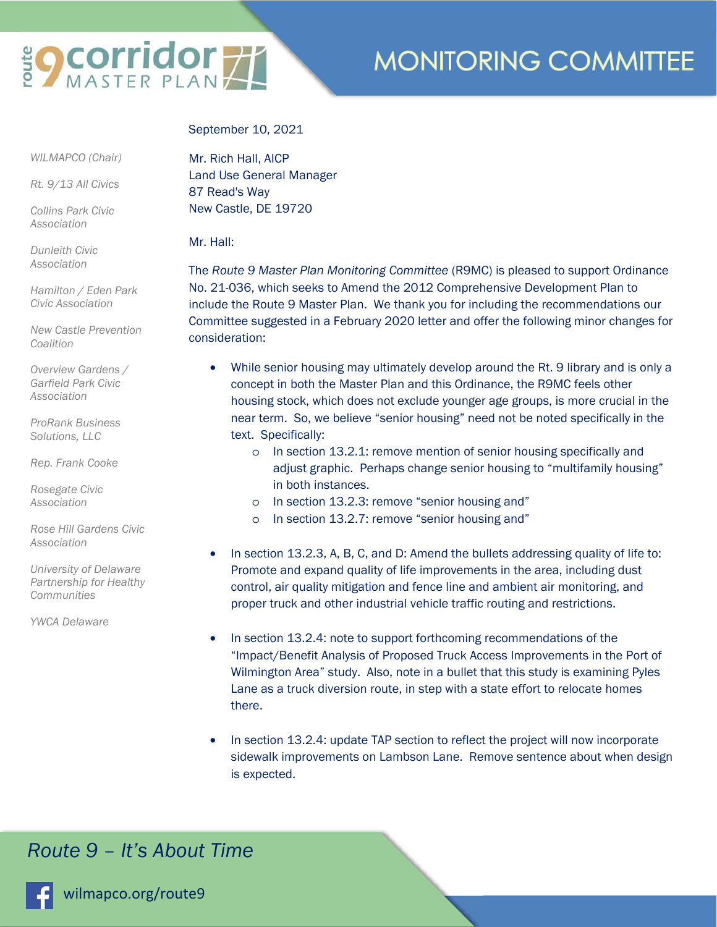# **SOCOTTICOT 71**

# **MONITORING COMMITTEE**

#### September 10, 2021

 *WILMAPCO (Chair)* 

*Rt. 9/13 All Civics* 

*Collins Park Civic Association* 

*Dunleith Civic Association* 

*Hamilton / Eden Park Civic Association* 

*New Castle Prevention Coalition* 

*Overview Gardens / Garfield Park Civic Association* 

*ProRank Business Solutions, LLC* 

*Rep. Frank Cooke* 

*Rosegate Civic Association* 

*Rose Hill Gardens Civic Association* 

*University of Delaware Partnership for Healthy Communities* 

*YWCA Delaware* 

Mr. Rich Hall, AICP Land Use General Manager 87 Read's Way New Castle, DE 19720

#### Mr. Hall:

The *Route 9 Master Plan Monitoring Committee* (R9MC) is pleased to support Ordinance No. 21-036, which seeks to Amend the 2012 Comprehensive Development Plan to include the Route 9 Master Plan. We thank you for including the recommendations our Committee suggested in a February 2020 letter and offer the following minor changes for consideration:

- While senior housing may ultimately develop around the Rt. 9 library and is only a concept in both the Master Plan and this Ordinance, the R9MC feels other housing stock, which does not exclude younger age groups, is more crucial in the near term. So, we believe "senior housing" need not be noted specifically in the text. Specifically:
	- o In section 13.2.1: remove mention of senior housing specifically and adjust graphic. Perhaps change senior housing to "multifamily housing" in both instances.
	- o In section 13.2.3: remove "senior housing and"
	- o In section 13.2.7: remove "senior housing and"
- In section 13.2.3, A, B, C, and D: Amend the bullets addressing quality of life to: Promote and expand quality of life improvements in the area, including dust control, air quality mitigation and fence line and ambient air monitoring, and proper truck and other industrial vehicle traffic routing and restrictions.
- In section 13.2.4: note to support forthcoming recommendations of the "Impact/Benefit Analysis of Proposed Truck Access Improvements in the Port of Wilmington Area" study. Also, note in a bullet that this study is examining Pyles Lane as a truck diversion route, in step with a state effort to relocate homes there.
- In section 13.2.4: update TAP section to reflect the project will now incorporate sidewalk improvements on Lambson Lane. Remove sentence about when design is expected.

## *Route 9 – It's About Time*



wilmapco.org/route9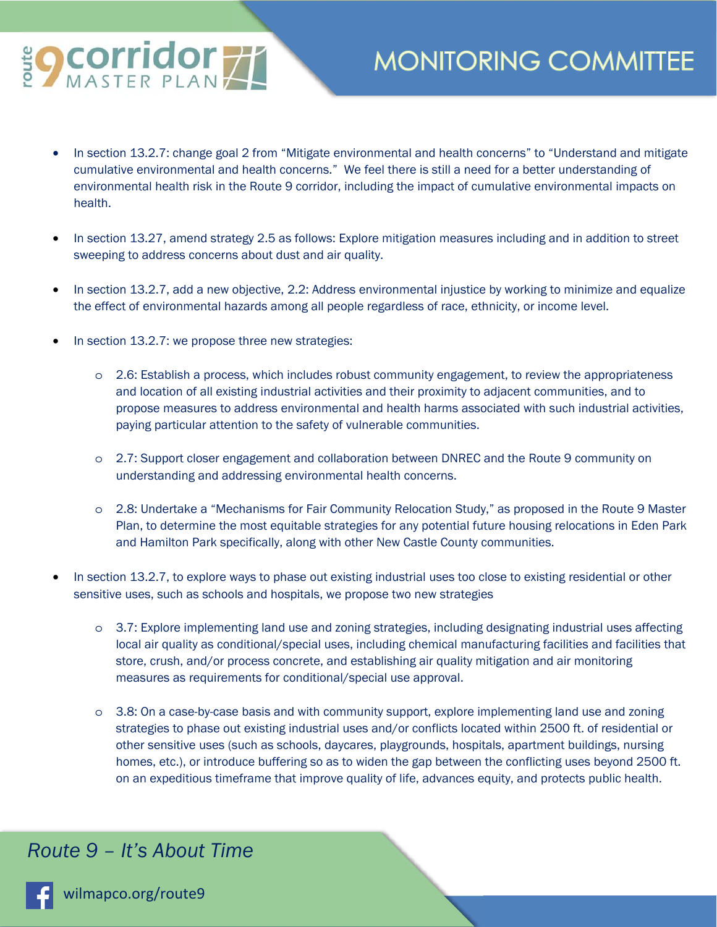

# **MONITORING COMMITTEE**

- In section 13.2.7: change goal 2 from "Mitigate environmental and health concerns" to "Understand and mitigate cumulative environmental and health concerns." We feel there is still a need for a better understanding of environmental health risk in the Route 9 corridor, including the impact of cumulative environmental impacts on health.
- In section 13.27, amend strategy 2.5 as follows: Explore mitigation measures including and in addition to street sweeping to address concerns about dust and air quality.
- In section 13.2.7, add a new objective, 2.2: Address environmental injustice by working to minimize and equalize the effect of environmental hazards among all people regardless of race, ethnicity, or income level.
- In section 13.2.7: we propose three new strategies:
	- o 2.6: Establish a process, which includes robust community engagement, to review the appropriateness and location of all existing industrial activities and their proximity to adjacent communities, and to propose measures to address environmental and health harms associated with such industrial activities, paying particular attention to the safety of vulnerable communities.
	- o 2.7: Support closer engagement and collaboration between DNREC and the Route 9 community on understanding and addressing environmental health concerns.
	- o 2.8: Undertake a "Mechanisms for Fair Community Relocation Study," as proposed in the Route 9 Master Plan, to determine the most equitable strategies for any potential future housing relocations in Eden Park and Hamilton Park specifically, along with other New Castle County communities.
- In section 13.2.7, to explore ways to phase out existing industrial uses too close to existing residential or other sensitive uses, such as schools and hospitals, we propose two new strategies
	- o 3.7: Explore implementing land use and zoning strategies, including designating industrial uses affecting local air quality as conditional/special uses, including chemical manufacturing facilities and facilities that store, crush, and/or process concrete, and establishing air quality mitigation and air monitoring measures as requirements for conditional/special use approval.
	- o 3.8: On a case-by-case basis and with community support, explore implementing land use and zoning strategies to phase out existing industrial uses and/or conflicts located within 2500 ft. of residential or other sensitive uses (such as schools, daycares, playgrounds, hospitals, apartment buildings, nursing homes, etc.), or introduce buffering so as to widen the gap between the conflicting uses beyond 2500 ft. on an expeditious timeframe that improve quality of life, advances equity, and protects public health.

## *Route 9 – It's About Time*